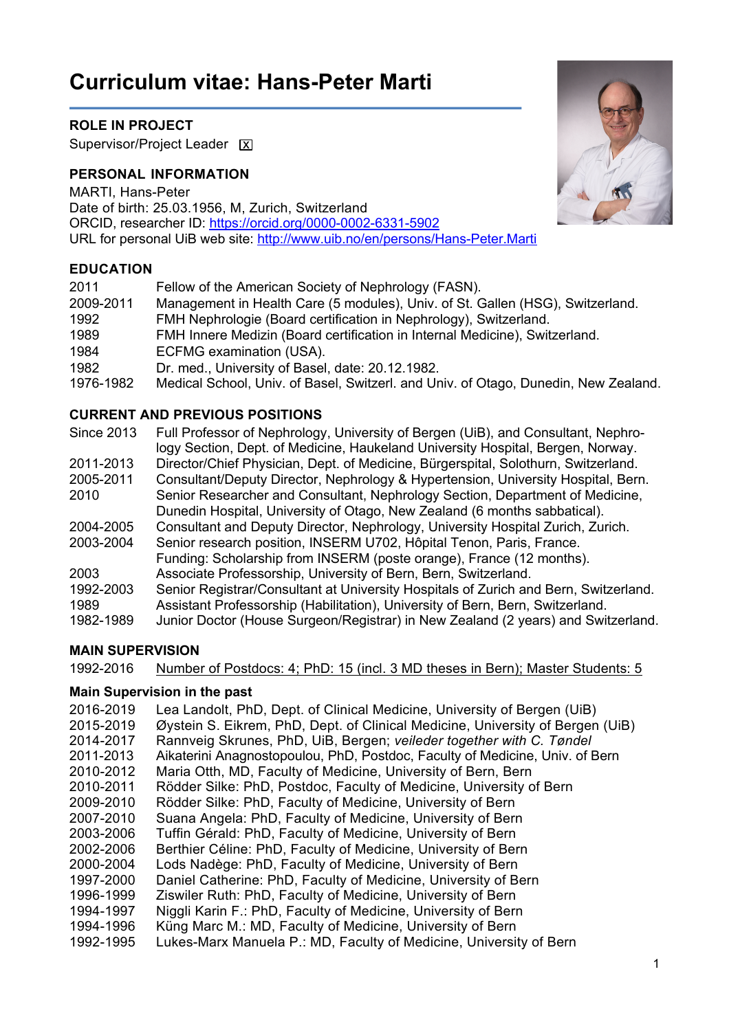# **Curriculum vitae: Hans-Peter Marti**

# **ROLE IN PROJECT**

Supervisor/Project Leader [X]

# **PERSONAL INFORMATION**

MARTI, Hans-Peter Date of birth: 25.03.1956, M, Zurich, Switzerland ORCID, researcher ID: https://orcid.org/0000-0002-6331-5902 URL for personal UiB web site: http://www.uib.no/en/persons/Hans-Peter.Marti

## **EDUCATION**

| 2011      | Fellow of the American Society of Nephrology (FASN).                                |
|-----------|-------------------------------------------------------------------------------------|
| 2009-2011 | Management in Health Care (5 modules), Univ. of St. Gallen (HSG), Switzerland.      |
| 1992      | FMH Nephrologie (Board certification in Nephrology), Switzerland.                   |
| 1989      | FMH Innere Medizin (Board certification in Internal Medicine), Switzerland.         |
| 1984      | ECFMG examination (USA).                                                            |
| 1982      | Dr. med., University of Basel, date: 20.12.1982.                                    |
| 1976-1982 | Medical School, Univ. of Basel, Switzerl. and Univ. of Otago, Dunedin, New Zealand. |

## **CURRENT AND PREVIOUS POSITIONS**

| <b>Since 2013</b> | Full Professor of Nephrology, University of Bergen (UiB), and Consultant, Nephro-<br>logy Section, Dept. of Medicine, Haukeland University Hospital, Bergen, Norway. |
|-------------------|----------------------------------------------------------------------------------------------------------------------------------------------------------------------|
| 2011-2013         | Director/Chief Physician, Dept. of Medicine, Bürgerspital, Solothurn, Switzerland.                                                                                   |
| 2005-2011         | Consultant/Deputy Director, Nephrology & Hypertension, University Hospital, Bern.                                                                                    |
| 2010              | Senior Researcher and Consultant, Nephrology Section, Department of Medicine,                                                                                        |
|                   | Dunedin Hospital, University of Otago, New Zealand (6 months sabbatical).                                                                                            |
| 2004-2005         | Consultant and Deputy Director, Nephrology, University Hospital Zurich, Zurich.                                                                                      |
| 2003-2004         | Senior research position, INSERM U702, Hôpital Tenon, Paris, France.                                                                                                 |
|                   | Funding: Scholarship from INSERM (poste orange), France (12 months).                                                                                                 |
| 2003              | Associate Professorship, University of Bern, Bern, Switzerland.                                                                                                      |
| 1992-2003         | Senior Registrar/Consultant at University Hospitals of Zurich and Bern, Switzerland.                                                                                 |
| 1989              | Assistant Professorship (Habilitation), University of Bern, Bern, Switzerland.                                                                                       |
| 1982-1989         | Junior Doctor (House Surgeon/Registrar) in New Zealand (2 years) and Switzerland.                                                                                    |
|                   |                                                                                                                                                                      |

# **MAIN SUPERVISION**

1992-2016 Number of Postdocs: 4; PhD: 15 (incl. 3 MD theses in Bern); Master Students: 5

# **Main Supervision in the past**

2016-2019 Lea Landolt, PhD, Dept. of Clinical Medicine, University of Bergen (UiB) 2015-2019 Øystein S. Eikrem, PhD, Dept. of Clinical Medicine, University of Bergen (UiB) 2014-2017 Rannveig Skrunes, PhD, UiB, Bergen; *veileder together with C. Tøndel* 2011-2013 Aikaterini Anagnostopoulou, PhD, Postdoc, Faculty of Medicine, Univ. of Bern 2010-2012 Maria Otth, MD, Faculty of Medicine, University of Bern, Bern 2010-2011 Rödder Silke: PhD, Postdoc, Faculty of Medicine, University of Bern 2009-2010 Rödder Silke: PhD, Faculty of Medicine, University of Bern 2007-2010 Suana Angela: PhD, Faculty of Medicine, University of Bern 2003-2006 Tuffin Gérald: PhD, Faculty of Medicine, University of Bern 2002-2006 Berthier Céline: PhD, Faculty of Medicine, University of Bern 2000-2004 Lods Nadège: PhD, Faculty of Medicine, University of Bern 1997-2000 Daniel Catherine: PhD, Faculty of Medicine, University of Bern 1996-1999 Ziswiler Ruth: PhD, Faculty of Medicine, University of Bern 1994-1997 Niggli Karin F.: PhD, Faculty of Medicine, University of Bern 1994-1996 Küng Marc M.: MD, Faculty of Medicine, University of Bern 1992-1995 Lukes-Marx Manuela P.: MD, Faculty of Medicine, University of Bern

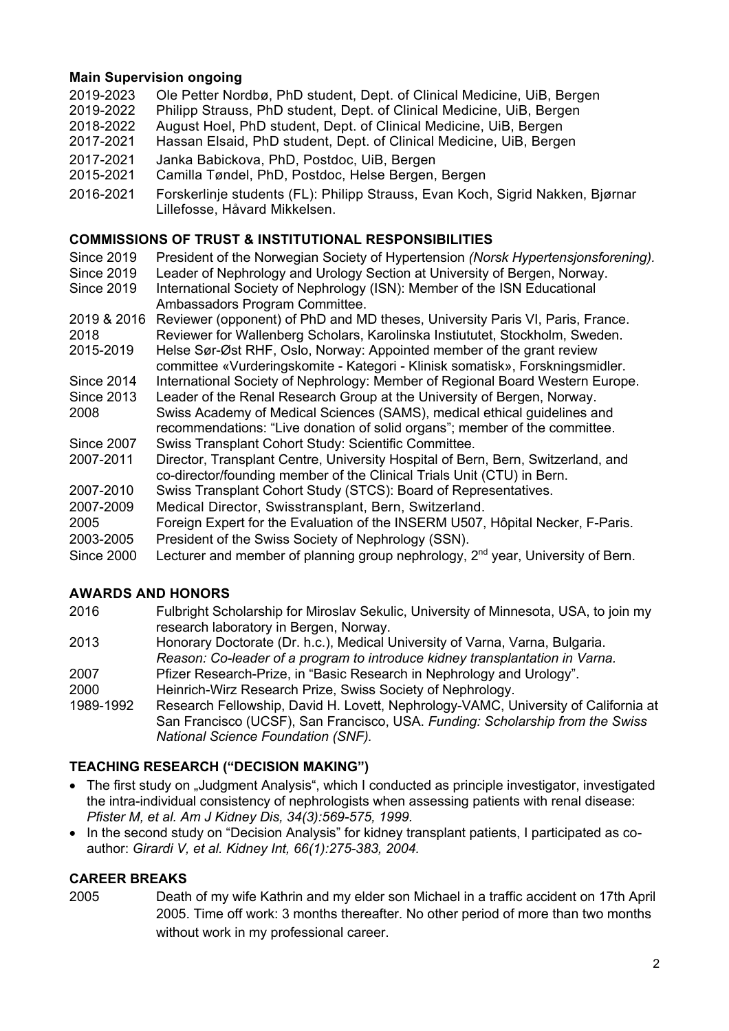# **Main Supervision ongoing**

- 2019-2023 Ole Petter Nordbø, PhD student, Dept. of Clinical Medicine, UiB, Bergen 2019-2022 Philipp Strauss, PhD student, Dept. of Clinical Medicine, UiB, Bergen 2018-2022 August Hoel, PhD student, Dept. of Clinical Medicine, UiB, Bergen 2017-2021 Hassan Elsaid, PhD student, Dept. of Clinical Medicine, UiB, Bergen 2017-2021 Janka Babickova, PhD, Postdoc, UiB, Bergen 2015-2021 Camilla Tøndel, PhD, Postdoc, Helse Bergen, Bergen
- 2016-2021 Forskerlinje students (FL): Philipp Strauss, Evan Koch, Sigrid Nakken, Bjørnar Lillefosse, Håvard Mikkelsen.

# **COMMISSIONS OF TRUST & INSTITUTIONAL RESPONSIBILITIES**

- Since 2019 President of the Norwegian Society of Hypertension *(Norsk Hypertensjonsforening).*<br>Since 2019 Leader of Nephrology and Urology Section at University of Bergen, Norway.
- Since 2019 Leader of Nephrology and Urology Section at University of Bergen, Norway.<br>Since 2019 International Society of Nephrology (ISN): Member of the ISN Educational International Society of Nephrology (ISN): Member of the ISN Educational Ambassadors Program Committee.
- 2019 & 2016 Reviewer (opponent) of PhD and MD theses, University Paris VI, Paris, France. 2018 Reviewer for Wallenberg Scholars, Karolinska Instiututet, Stockholm, Sweden.
- 2015-2019 Helse Sør-Øst RHF, Oslo, Norway: Appointed member of the grant review
- committee «Vurderingskomite Kategori Klinisk somatisk», Forskningsmidler.
- Since 2014 International Society of Nephrology: Member of Regional Board Western Europe.
- Since 2013 Leader of the Renal Research Group at the University of Bergen, Norway. 2008 Swiss Academy of Medical Sciences (SAMS), medical ethical guidelines and recommendations: "Live donation of solid organs"; member of the committee.
- Since 2007 Swiss Transplant Cohort Study: Scientific Committee.
- 2007-2011 Director, Transplant Centre, University Hospital of Bern, Bern, Switzerland, and co-director/founding member of the Clinical Trials Unit (CTU) in Bern.
- 2007-2010 Swiss Transplant Cohort Study (STCS): Board of Representatives.
- 2007-2009 Medical Director, Swisstransplant, Bern, Switzerland.
- 2005 Foreign Expert for the Evaluation of the INSERM U507, Hôpital Necker, F-Paris. 2003-2005 President of the Swiss Society of Nephrology (SSN).
- Since 2000 Lecturer and member of planning group nephrology, 2<sup>nd</sup> year, University of Bern.

# **AWARDS AND HONORS**

- 2016 Fulbright Scholarship for Miroslav Sekulic, University of Minnesota, USA, to join my research laboratory in Bergen, Norway.
- 2013 Honorary Doctorate (Dr. h.c.), Medical University of Varna, Varna, Bulgaria. *Reason: Co-leader of a program to introduce kidney transplantation in Varna.*
- 2007 Pfizer Research-Prize, in "Basic Research in Nephrology and Urology".
- 2000 Heinrich-Wirz Research Prize, Swiss Society of Nephrology.
- 1989-1992 Research Fellowship, David H. Lovett, Nephrology-VAMC, University of California at San Francisco (UCSF), San Francisco, USA. *Funding: Scholarship from the Swiss National Science Foundation (SNF).*

# **TEACHING RESEARCH ("DECISION MAKING")**

- The first study on "Judgment Analysis", which I conducted as principle investigator, investigated the intra-individual consistency of nephrologists when assessing patients with renal disease: *Pfister M, et al. Am J Kidney Dis, 34(3):569-575, 1999.*
- In the second study on "Decision Analysis" for kidney transplant patients, I participated as coauthor: *Girardi V, et al. Kidney Int, 66(1):275-383, 2004.*

# **CAREER BREAKS**

2005 Death of my wife Kathrin and my elder son Michael in a traffic accident on 17th April 2005. Time off work: 3 months thereafter. No other period of more than two months without work in my professional career.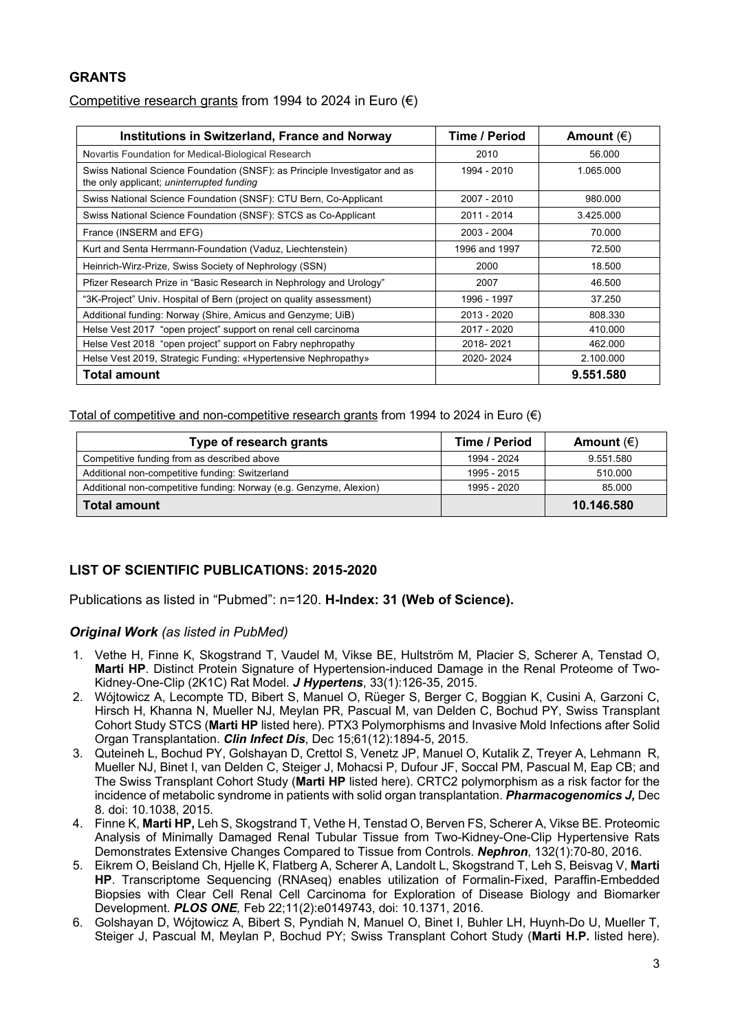## **GRANTS**

## Competitive research grants from 1994 to 2024 in Euro  $(\epsilon)$

| Institutions in Switzerland, France and Norway                                                                          | Time / Period | Amount $(\epsilon)$ |
|-------------------------------------------------------------------------------------------------------------------------|---------------|---------------------|
| Novartis Foundation for Medical-Biological Research                                                                     | 2010          | 56.000              |
| Swiss National Science Foundation (SNSF): as Principle Investigator and as<br>the only applicant; uninterrupted funding | 1994 - 2010   | 1.065.000           |
| Swiss National Science Foundation (SNSF): CTU Bern, Co-Applicant                                                        | 2007 - 2010   | 980.000             |
| Swiss National Science Foundation (SNSF): STCS as Co-Applicant                                                          | 2011 - 2014   | 3.425.000           |
| France (INSERM and EFG)                                                                                                 | 2003 - 2004   | 70.000              |
| Kurt and Senta Herrmann-Foundation (Vaduz, Liechtenstein)                                                               | 1996 and 1997 | 72.500              |
| Heinrich-Wirz-Prize, Swiss Society of Nephrology (SSN)                                                                  | 2000          | 18.500              |
| Pfizer Research Prize in "Basic Research in Nephrology and Urology"                                                     | 2007          | 46.500              |
| "3K-Project" Univ. Hospital of Bern (project on quality assessment)                                                     | 1996 - 1997   | 37.250              |
| Additional funding: Norway (Shire, Amicus and Genzyme; UiB)                                                             | 2013 - 2020   | 808.330             |
| Helse Vest 2017 "open project" support on renal cell carcinoma                                                          | 2017 - 2020   | 410.000             |
| Helse Vest 2018 "open project" support on Fabry nephropathy                                                             | 2018-2021     | 462.000             |
| Helse Vest 2019, Strategic Funding: «Hypertensive Nephropathy»                                                          | 2020-2024     | 2.100.000           |
| Total amount                                                                                                            |               | 9.551.580           |

Total of competitive and non-competitive research grants from 1994 to 2024 in Euro  $(\epsilon)$ 

| Type of research grants                                            | Time / Period | Amount $(\epsilon)$ |
|--------------------------------------------------------------------|---------------|---------------------|
| Competitive funding from as described above                        | 1994 - 2024   | 9.551.580           |
| Additional non-competitive funding: Switzerland                    | 1995 - 2015   | 510.000             |
| Additional non-competitive funding: Norway (e.g. Genzyme, Alexion) | 1995 - 2020   | 85.000              |
| <b>Total amount</b>                                                |               | 10.146.580          |

# **LIST OF SCIENTIFIC PUBLICATIONS: 2015-2020**

Publications as listed in "Pubmed": n=120. **H-Index: 31 (Web of Science).**

#### *Original Work (as listed in PubMed)*

- 1. Vethe H, Finne K, Skogstrand T, Vaudel M, Vikse BE, Hultström M, Placier S, Scherer A, Tenstad O, **Marti HP**. Distinct Protein Signature of Hypertension-induced Damage in the Renal Proteome of Two-Kidney-One-Clip (2K1C) Rat Model. *J Hypertens*, 33(1):126-35, 2015.
- 2. Wójtowicz A, Lecompte TD, Bibert S, Manuel O, Rüeger S, Berger C, Boggian K, Cusini A, Garzoni C, Hirsch H, Khanna N, Mueller NJ, Meylan PR, Pascual M, van Delden C, Bochud PY, Swiss Transplant Cohort Study STCS (**Marti HP** listed here). PTX3 Polymorphisms and Invasive Mold Infections after Solid Organ Transplantation. *Clin Infect Dis*, Dec 15;61(12):1894-5, 2015.
- 3. Quteineh L, Bochud PY, Golshayan D, Crettol S, Venetz JP, Manuel O, Kutalik Z, Treyer A, Lehmann R, Mueller NJ, Binet I, van Delden C, Steiger J, Mohacsi P, Dufour JF, Soccal PM, Pascual M, Eap CB; and The Swiss Transplant Cohort Study (**Marti HP** listed here). CRTC2 polymorphism as a risk factor for the incidence of metabolic syndrome in patients with solid organ transplantation. *Pharmacogenomics J,* Dec 8. doi: 10.1038, 2015.
- 4. Finne K, **Marti HP,** Leh S, Skogstrand T, Vethe H, Tenstad O, Berven FS, Scherer A, Vikse BE. Proteomic Analysis of Minimally Damaged Renal Tubular Tissue from Two-Kidney-One-Clip Hypertensive Rats Demonstrates Extensive Changes Compared to Tissue from Controls. *Nephron*, 132(1):70-80, 2016.
- 5. Eikrem O, Beisland Ch, Hjelle K, Flatberg A, Scherer A, Landolt L, Skogstrand T, Leh S, Beisvag V, **Marti HP**. Transcriptome Sequencing (RNAseq) enables utilization of Formalin-Fixed, Paraffin-Embedded Biopsies with Clear Cell Renal Cell Carcinoma for Exploration of Disease Biology and Biomarker Development. *PLOS ONE,* Feb 22;11(2):e0149743, doi: 10.1371, 2016.
- 6. Golshayan D, Wójtowicz A, Bibert S, Pyndiah N, Manuel O, Binet I, Buhler LH, Huynh-Do U, Mueller T, Steiger J, Pascual M, Meylan P, Bochud PY; Swiss Transplant Cohort Study (**Marti H.P.** listed here).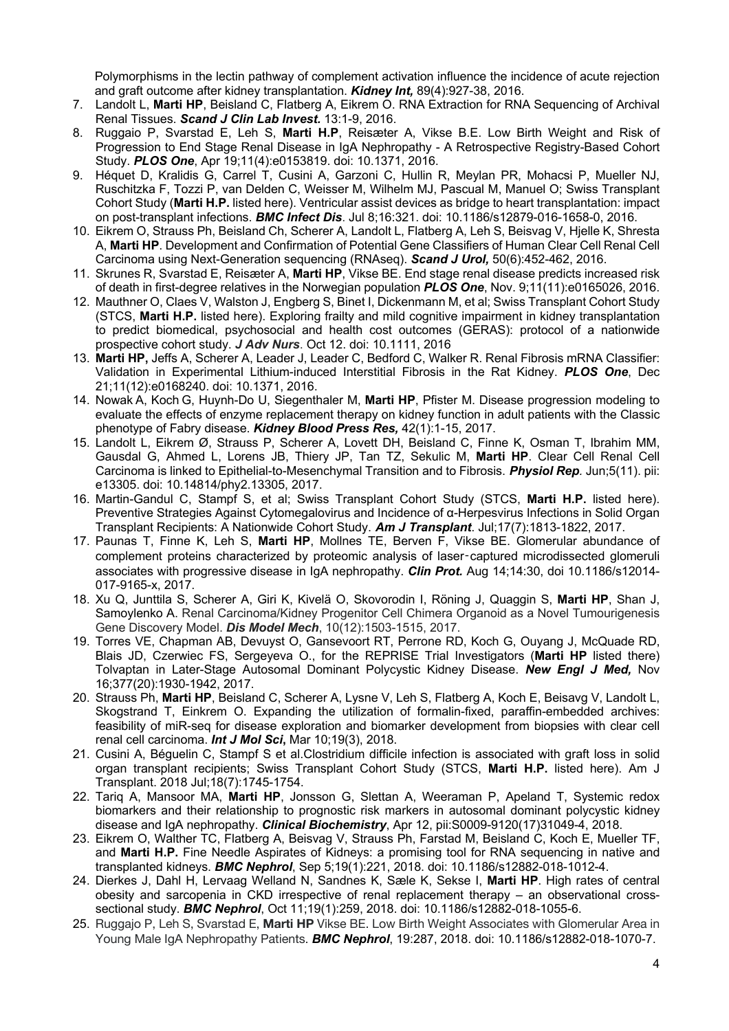Polymorphisms in the lectin pathway of complement activation influence the incidence of acute rejection and graft outcome after kidney transplantation. *Kidney Int,* 89(4):927-38, 2016.

- 7. Landolt L, **Marti HP**, Beisland C, Flatberg A, Eikrem O. RNA Extraction for RNA Sequencing of Archival Renal Tissues. *Scand J Clin Lab Invest.* 13:1-9, 2016.
- 8. Ruggaio P, Svarstad E, Leh S, **Marti H.P**, Reisæter A, Vikse B.E. Low Birth Weight and Risk of Progression to End Stage Renal Disease in IgA Nephropathy - A Retrospective Registry-Based Cohort Study. *PLOS One*, Apr 19;11(4):e0153819. doi: 10.1371, 2016.
- 9. Héquet D, Kralidis G, Carrel T, Cusini A, Garzoni C, Hullin R, Meylan PR, Mohacsi P, Mueller NJ, Ruschitzka F, Tozzi P, van Delden C, Weisser M, Wilhelm MJ, Pascual M, Manuel O; Swiss Transplant Cohort Study (**Marti H.P.** listed here). Ventricular assist devices as bridge to heart transplantation: impact on post-transplant infections. *BMC Infect Dis*. Jul 8;16:321. doi: 10.1186/s12879-016-1658-0, 2016.
- 10. Eikrem O, Strauss Ph, Beisland Ch, Scherer A, Landolt L, Flatberg A, Leh S, Beisvag V, Hjelle K, Shresta A, **Marti HP**. Development and Confirmation of Potential Gene Classifiers of Human Clear Cell Renal Cell Carcinoma using Next-Generation sequencing (RNAseq). *Scand J Urol,* 50(6):452-462, 2016.
- 11. Skrunes R, Svarstad E, Reisæter A, **Marti HP**, Vikse BE. End stage renal disease predicts increased risk of death in first-degree relatives in the Norwegian population *PLOS One*, Nov. 9;11(11):e0165026, 2016.
- 12. Mauthner O, Claes V, Walston J, Engberg S, Binet I, Dickenmann M, et al; Swiss Transplant Cohort Study (STCS, **Marti H.P.** listed here). Exploring frailty and mild cognitive impairment in kidney transplantation to predict biomedical, psychosocial and health cost outcomes (GERAS): protocol of a nationwide prospective cohort study. *J Adv Nurs*. Oct 12. doi: 10.1111, 2016
- 13. **Marti HP,** Jeffs A, Scherer A, Leader J, Leader C, Bedford C, Walker R. Renal Fibrosis mRNA Classifier: Validation in Experimental Lithium-induced Interstitial Fibrosis in the Rat Kidney. *PLOS One*, Dec 21;11(12):e0168240. doi: 10.1371, 2016.
- 14. Nowak A, Koch G, Huynh-Do U, Siegenthaler M, **Marti HP**, Pfister M. Disease progression modeling to evaluate the effects of enzyme replacement therapy on kidney function in adult patients with the Classic phenotype of Fabry disease. *Kidney Blood Press Res,* 42(1):1-15, 2017.
- 15. Landolt L, Eikrem Ø, Strauss P, Scherer A, Lovett DH, Beisland C, Finne K, Osman T, Ibrahim MM, Gausdal G, Ahmed L, Lorens JB, Thiery JP, Tan TZ, Sekulic M, **Marti HP**. Clear Cell Renal Cell Carcinoma is linked to Epithelial-to-Mesenchymal Transition and to Fibrosis. *Physiol Rep.* Jun;5(11). pii: e13305. doi: 10.14814/phy2.13305, 2017.
- 16. Martin-Gandul C, Stampf S, et al; Swiss Transplant Cohort Study (STCS, **Marti H.P.** listed here). Preventive Strategies Against Cytomegalovirus and Incidence of α-Herpesvirus Infections in Solid Organ Transplant Recipients: A Nationwide Cohort Study. *Am J Transplant*. Jul;17(7):1813-1822, 2017.
- 17. Paunas T, Finne K, Leh S, **Marti HP**, Mollnes TE, Berven F, Vikse BE. Glomerular abundance of complement proteins characterized by proteomic analysis of laser-captured microdissected glomeruli associates with progressive disease in IgA nephropathy. *Clin Prot.* Aug 14;14:30, doi 10.1186/s12014- 017-9165-x, 2017.
- 18. Xu Q, Junttila S, Scherer A, Giri K, Kivelä O, Skovorodin I, Röning J, Quaggin S, **Marti HP**, Shan J, Samoylenko A. Renal Carcinoma/Kidney Progenitor Cell Chimera Organoid as a Novel Tumourigenesis Gene Discovery Model. *Dis Model Mech*, 10(12):1503-1515, 2017.
- 19. Torres VE, Chapman AB, Devuyst O, Gansevoort RT, Perrone RD, Koch G, Ouyang J, McQuade RD, Blais JD, Czerwiec FS, Sergeyeva O., for the REPRISE Trial Investigators (**Marti HP** listed there) Tolvaptan in Later-Stage Autosomal Dominant Polycystic Kidney Disease. *New Engl J Med,* Nov 16;377(20):1930-1942, 2017.
- 20. Strauss Ph, **Marti HP**, Beisland C, Scherer A, Lysne V, Leh S, Flatberg A, Koch E, Beisavg V, Landolt L, Skogstrand T, Einkrem O. Expanding the utilization of formalin-fixed, paraffin-embedded archives: feasibility of miR-seq for disease exploration and biomarker development from biopsies with clear cell renal cell carcinoma. *Int J Mol Sci***,** Mar 10;19(3), 2018.
- 21. Cusini A, Béguelin C, Stampf S et al.Clostridium difficile infection is associated with graft loss in solid organ transplant recipients; Swiss Transplant Cohort Study (STCS, **Marti H.P.** listed here). Am J Transplant. 2018 Jul;18(7):1745-1754.
- 22. Tariq A, Mansoor MA, **Marti HP**, Jonsson G, Slettan A, Weeraman P, Apeland T, Systemic redox biomarkers and their relationship to prognostic risk markers in autosomal dominant polycystic kidney disease and IgA nephropathy. *Clinical Biochemistry*, Apr 12, pii:S0009-9120(17)31049-4, 2018.
- 23. Eikrem O, Walther TC, Flatberg A, Beisvag V, Strauss Ph, Farstad M, Beisland C, Koch E, Mueller TF, and **Marti H.P.** Fine Needle Aspirates of Kidneys: a promising tool for RNA sequencing in native and transplanted kidneys. *BMC Nephrol*, Sep 5;19(1):221, 2018. doi: 10.1186/s12882-018-1012-4.
- 24. Dierkes J, Dahl H, Lervaag Welland N, Sandnes K, Sæle K, Sekse I, **Marti HP**. High rates of central obesity and sarcopenia in CKD irrespective of renal replacement therapy – an observational crosssectional study. *BMC Nephrol*, Oct 11;19(1):259, 2018. doi: 10.1186/s12882-018-1055-6.
- 25. Ruggajo P, Leh S, Svarstad E, **Marti HP** Vikse BE. Low Birth Weight Associates with Glomerular Area in Young Male IgA Nephropathy Patients. *BMC Nephrol*, 19:287, 2018. doi: 10.1186/s12882-018-1070-7.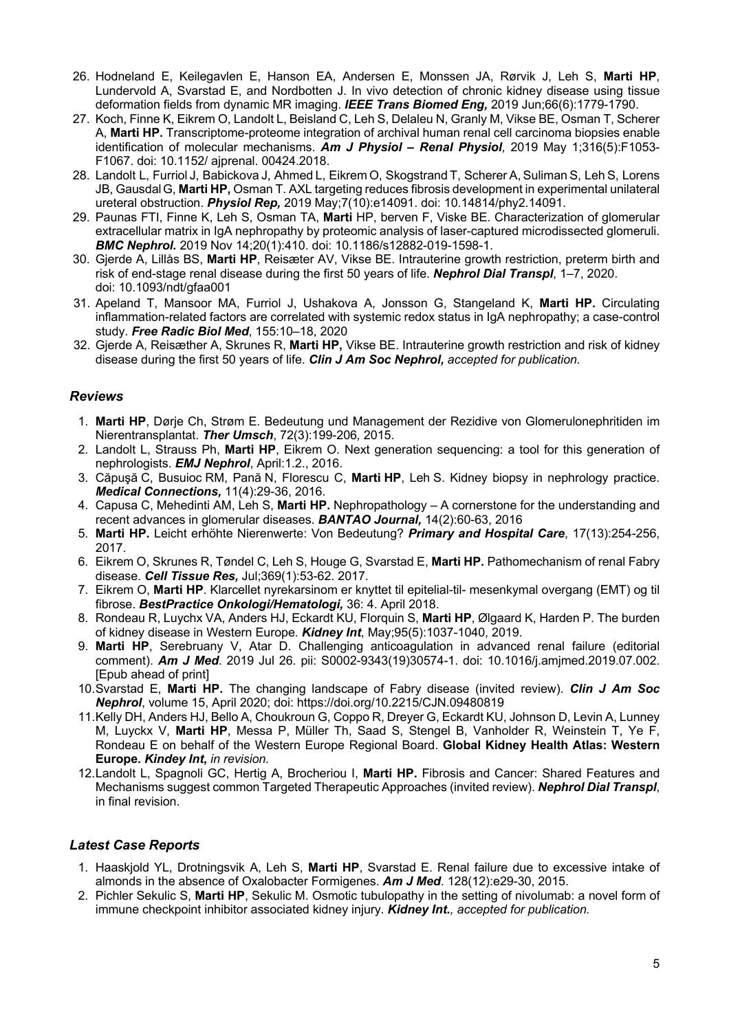- 26. Hodneland E, Keilegavlen E, Hanson EA, Andersen E, Monssen JA, Rørvik J, Leh S, **Marti HP**, Lundervold A, Svarstad E, and Nordbotten J. In vivo detection of chronic kidney disease using tissue deformation fields from dynamic MR imaging. *IEEE Trans Biomed Eng,* 2019 Jun;66(6):1779-1790.
- 27. Koch, Finne K, Eikrem O, Landolt L, Beisland C, Leh S, Delaleu N, Granly M, Vikse BE, Osman T, Scherer A, **Marti HP.** Transcriptome-proteome integration of archival human renal cell carcinoma biopsies enable identification of molecular mechanisms. *Am J Physiol – Renal Physiol*, 2019 May 1;316(5):F1053- F1067. doi: 10.1152/ ajprenal. 00424.2018.
- 28. Landolt L, Furriol J, Babickova J, Ahmed L, Eikrem O, Skogstrand T, Scherer A, Suliman S, Leh S, Lorens JB, GausdalG, **Marti HP,** Osman T. AXL targeting reduces fibrosis development in experimental unilateral ureteral obstruction. *Physiol Rep,* 2019 May;7(10):e14091. doi: 10.14814/phy2.14091.
- 29. Paunas FTI, Finne K, Leh S, Osman TA, **Marti** HP, berven F, Viske BE. Characterization of glomerular extracellular matrix in IgA nephropathy by proteomic analysis of laser-captured microdissected glomeruli. *BMC Nephrol.* 2019 Nov 14;20(1):410. doi: 10.1186/s12882-019-1598-1.
- 30. Gjerde A, Lillås BS, **Marti HP**, Reisæter AV, Vikse BE. Intrauterine growth restriction, preterm birth and risk of end-stage renal disease during the first 50 years of life. *Nephrol Dial Transpl*, 1–7, 2020. doi: 10.1093/ndt/gfaa001
- 31. Apeland T, Mansoor MA, Furriol J, Ushakova A, Jonsson G, Stangeland K, **Marti HP.** Circulating inflammation-related factors are correlated with systemic redox status in IgA nephropathy; a case-control study. *Free Radic Biol Med*, 155:10–18, 2020
- 32. Gjerde A, Reisæther A, Skrunes R, **Marti HP,** Vikse BE. Intrauterine growth restriction and risk of kidney disease during the first 50 years of life. *Clin J Am Soc Nephrol, accepted for publication.*

#### *Reviews*

- 1. **Marti HP**, Dørje Ch, Strøm E. Bedeutung und Management der Rezidive von Glomerulonephritiden im Nierentransplantat. *Ther Umsch*, 72(3):199-206*,* 2015.
- 2. Landolt L, Strauss Ph, **Marti HP**, Eikrem O. Next generation sequencing: a tool for this generation of nephrologists. *EMJ Nephrol*, April:1.2., 2016.
- 3. Căpuşă C, Busuioc RM, Pană N, Florescu C, **Marti HP**, Leh S. Kidney biopsy in nephrology practice. *Medical Connections,* 11(4):29-36, 2016.
- 4. Capusa C, Mehedinti AM, Leh S, **Marti HP.** Nephropathology A cornerstone for the understanding and recent advances in glomerular diseases. *BANTAO Journal,* 14(2):60-63, 2016
- 5. **Marti HP.** Leicht erhöhte Nierenwerte: Von Bedeutung? *Primary and Hospital Care*, 17(13):254-256, 2017.
- 6. Eikrem O, Skrunes R, Tøndel C, Leh S, Houge G, Svarstad E, **Marti HP.** Pathomechanism of renal Fabry disease. *Cell Tissue Res,* Jul;369(1):53-62. 2017.
- 7. Eikrem O, **Marti HP**. Klarcellet nyrekarsinom er knyttet til epitelial-til- mesenkymal overgang (EMT) og til fibrose. *BestPractice Onkologi/Hematologi,* 36: 4. April 2018.
- 8. Rondeau R, Luychx VA, Anders HJ, Eckardt KU, Florquin S, **Marti HP**, Ølgaard K, Harden P. The burden of kidney disease in Western Europe. *Kidney Int*, May;95(5):1037-1040, 2019.
- 9. **Marti HP**, Serebruany V, Atar D. Challenging anticoagulation in advanced renal failure (editorial comment). *Am J Med*. 2019 Jul 26. pii: S0002-9343(19)30574-1. doi: 10.1016/j.amjmed.2019.07.002. [Epub ahead of print]
- 10.Svarstad E, **Marti HP.** The changing landscape of Fabry disease (invited review). *Clin J Am Soc Nephrol*, volume 15, April 2020; doi: https://doi.org/10.2215/CJN.09480819
- 11.Kelly DH, Anders HJ, Bello A, Choukroun G, Coppo R, Dreyer G, Eckardt KU, Johnson D, Levin A, Lunney M, Luyckx V, **Marti HP**, Messa P, Müller Th, Saad S, Stengel B, Vanholder R, Weinstein T, Ye F, Rondeau E on behalf of the Western Europe Regional Board. **Global Kidney Health Atlas: Western Europe.** *Kindey Int***,** *in revision.*
- 12.Landolt L, Spagnoli GC, Hertig A, Brocheriou I, **Marti HP.** Fibrosis and Cancer: Shared Features and Mechanisms suggest common Targeted Therapeutic Approaches (invited review). *Nephrol Dial Transpl*, in final revision.

#### *Latest Case Reports*

- 1. Haaskjold YL, Drotningsvik A, Leh S, **Marti HP**, Svarstad E. Renal failure due to excessive intake of almonds in the absence of Oxalobacter Formigenes. *Am J Med*. 128(12):e29-30, 2015.
- 2. Pichler Sekulic S, **Marti HP**, Sekulic M. Osmotic tubulopathy in the setting of nivolumab: a novel form of immune checkpoint inhibitor associated kidney injury. *Kidney Int., accepted for publication.*